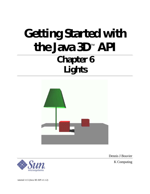# **Getting Started with the Java 3D**™  **API Chapter 6 Lights**



Dennis J Bouvier

K Computing



tutorial v1.5 (Java 3D API v1.1.2)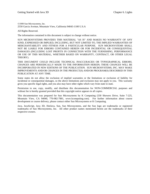©1999 Sun Microsystems, Inc. 2550 Garcia Avenue, Mountain View, California 94043-1100 U.S.A

All Rights Reserved.

The information contained in this document is subject to change without notice.

SUN MICROSYSTEMS PROVIDES THIS MATERIAL "AS IS" AND MAKES NO WARRANTY OF ANY KIND, EXPRESSED OR IMPLIED, INCLUDING, BUT NOT LIMITED TO, THE IMPLIED WARRANTIES OF MERCHANTABILITY AND FITNESS FOR A PARTICULAR PURPOSE. SUN MICROSYSTEMS SHALL NOT BE LIABLE FOR ERRORS CONTAINED HEREIN OR FOR INCIDENTAL OR CONSEQUENTIAL DAMAGES (INCLUDING LOST PROFITS IN CONNECTION WITH THE FURNISHING, PERFORMANCE OR USE OF THIS MATERIAL, WHETHER BASED ON WARRANTY, CONTRACT, OR OTHER LEGAL THEORY).

THIS DOCUMENT COULD INCLUDE TECHNICAL INACCURACIES OR TYPOGRAPHICAL ERRORS. CHANGES ARE PERIODICALLY MADE TO THE INFORMATION HEREIN; THESE CHANGES WILL BE INCORPORATED IN NEW EDITIONS OF THE PUBLICATION. SUN MICROSYSTEMS, INC. MAY MAKE IMPROVEMENTS AND/OR CHANGES IN THE PRODUCT(S) AND/OR PROGRAM(S) DESCRIBED IN THIS PUBLICATION AT ANY TIME.

Some states do not allow the exclusion of implied warranties or the limitations or exclusion of liability for incidental or consequential damages, so the above limitations and exclusion may not apply to you. This warranty gives you specific legal rights, and you also may have other rights which vary from state to state.

Permission to use, copy, modify, and distribute this documentation for NON-COMMERCIAL purposes and without fee is hereby granted provided that this copyright notice appears in all copies.

This documentation was prepared for Sun Microsystems by K Computing (530 Showers Drive, Suite 7-225, Mountain View, CA 94040, 770-982-7881, www.kcomputing.com). For further information about course development or course delivery, please contact either Sun Microsystems or K Computing.

Java, JavaScript, Java 3D, HotJava, Sun, Sun Microsystems, and the Sun logo are trademarks or registered trademarks of Sun Microsystems, Inc. All other product names mentioned herein are the trademarks of their respective owners.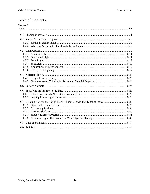# Table of Contents

| Chapter 6 |
|-----------|
|           |
|           |
| 6.1       |
|           |
| 6.2.1     |
|           |
|           |
| 6.3.1     |
| 6.3.2     |
| 6.3.3     |
| 6.3.4     |
| 6.3.5     |
| 6.3.6     |
|           |
| 6.4.1     |
|           |
| 6.5       |
|           |
| 6.6.1     |
| 6.6.2     |
|           |
| 6.7.1     |
| 6.7.2     |
| 6.7.3     |
| 6.7.4     |
| 6.7.5     |
|           |
|           |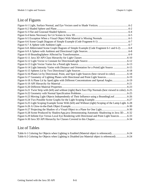# List of Figures

| Figure 6-8 Abbreviated Scene Graph Diagram of Simple Example (Code Fragment 6-1 and 6-2). 6-8             |
|-----------------------------------------------------------------------------------------------------------|
|                                                                                                           |
|                                                                                                           |
|                                                                                                           |
|                                                                                                           |
|                                                                                                           |
| Figure 6-14 Light Intensity Varies with Distance and Orientation for a PointLight Source6-15              |
|                                                                                                           |
| Figure 6-16 Planes Lit by Directional, Point, and Spot Light Sources (best viewed in color). 6-18         |
| Figure 6-17 Geometry of Lighting Planes with Directional and Point Light Sources6-19                      |
| Figure 6-18 A Plane Lit by SpotLights with Different Concentrations and Spread Angles6-19                 |
|                                                                                                           |
|                                                                                                           |
| Figure 6-21 Twist Strip with (left) and without (right) Back Face Flip Normals (best viewed in color)6-25 |
|                                                                                                           |
| Figure 6-23 Moving Light Objects Independently of Their Influence using a BoundingLeaf. 6-26              |
|                                                                                                           |
| Figure 6-25 Light Scoping Example Scene With (left) and Without (right) Scoping of the Lamp Light. 6-28   |
|                                                                                                           |
|                                                                                                           |
| Figure 6-28 Scene Produced by ShadowApp.java Demonstrating Automatic Shadowing in Java 3D  6-32           |
| Figure 6-29 Infinite Eye Versus Local Eye Rendering with Directional and Point Light Sources. 6-33        |
|                                                                                                           |

## List of Tables

Table 6-1 Coloring for Objects when Lighting is Enabled (Material object is referenced)......................6-24 Table 6-2 Coloring for Objects when Lighting is Disabled (no Material object is referenced)................6-24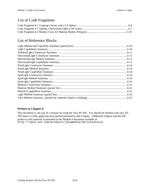# List of Code Fragments

# List of Reference Blocks

## **Preface to Chapter 6**

This document is one part of a tutorial on using the Java 3D API. You should be familiar with Java 3D API basics to fully appreciate the material presented in this Chapter. Additional chapters and the full preface to this material is presented in the Module 0 document available at: http://java.sun.com/products/javamedia/3d/collateral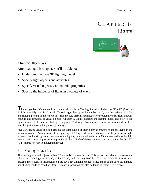# 6 Lights **CHAPTER**



## **Chapter Objectives**

After reading this chapter, you'll be able to:

- Understand the Java 3D lighting model
- Specify light objects and attributes
- Specify visual objects with material properties
- Specify the influence of lights in a variety of ways

The images Java 3D renders from the virtual worlds in "Getting Started with the Java 3D API" (Module 1 of this tutorial) lack visual detail. Those images, like "paint by numbers art ", lack the variation in color and shading present in the real world. This module presents techniques for providing visual detail through *shading* and texturing of visual objects. Chapter 6, Lights, explains the lighting model and how to use lights in Java 3D to achieve shading. Chapter 7, Texturing, shows how to use textures to add detail to a visual object without adding more geometry.

Java 3D *shades* visual objects based on the combination of their *material properties* and the lights in the virtual universe. *Shading* results from applying a lighting model to a visual object in the presence of light sources. Section 6.1 gives an overview of the lighting model used in the Java 3D renderer and how the light interacts with material properties to provide shading. Each of the subsequent sections explains the Java 3D API features relevant to the lighting model.

## 6.1 Shading in Java 3D

The shading of visual objects in Java 3D depends on many factors. This section provides a brief overview of the Java 3D Lighting Model, Color Model, and Shading Models. The Java 3D API Specification presents more detailed information on the Java 3D Lighting Model. Since much of the Java 3D lighting and shading model is based on OpenGL, more information can also be found in OpenGL references.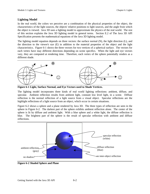## **Lighting Model**

In the real world, the colors we perceive are a combination of the physical properties of the object, the characteristics of the light sources, the objects' relative positions to light sources, and the angle from which the object is viewed. Java 3D uses a lighting model to approximate the physics of the real world. The rest of this section explains the Java 3D lighting model in general terms. Section E.2 of The Java 3D API Specification presents the mathematical equations of the Java 3D lighting model.

The lighting model equation depends on three vectors: the surface normal (N), the light direction (L), and the direction to the viewer's eye (E) in addition to the material properties of the object and the light characteristics. Figure 6-1 shows the three vectors for two vertices of a spherical surface. The vectors for each vertex have may different directions depending on scene specifics. When the light and eye vectors vary, they are computed at rendering time. Therefore, each vertex of the sphere potentially renders as a different shade.



**Figure 6-1 Light, Surface Normal, and Eye Vectors used to Shade Vertices.**

The lighting model incorporates three kinds of real world lighting reflections: ambient, diffuse, and specular. Ambient reflection results from ambient light, constant low level light, in a scene. Diffuse reflection is the normal reflection of a light source from a visual object. Specular reflections are the highlight reflections of a light source from an object, which occur in certain situations.

Figure 6-2 shows a sphere and a plane rendered by Java 3D. The three types of reflection are seen in the sphere in Figure 6-2. The darkest part of the sphere exhibits ambient reflection alone. The center of the sphere is lit by diffuse and ambient light. With a blue sphere and a white light, the diffuse reflection is blue. The brightest part of the sphere is the result of specular reflection with ambient and diffuse reflections.



**Figure 6-2 Shaded Sphere and Plane**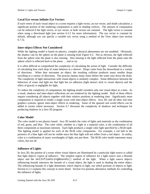## **Local Eye versus Infinite Eye Vectors**

If each vertex of each visual object in a scene requires a light vector, an eye vector, and shade calculation, a significant portion of the rendering computation is used in shading vertices. The amount of computation can be reduced if the light vector, or eye vector, or both vectors are constant. The light vector is constant when using a directional light (see section 6.3.2 for more information). The eye vector is constant by default, although you can specify a variable eye vector using a method of the View object (see section 6.7.5).

## **Inter-object Effects Not Considered**

While the lighting model is based on physics, complex physical phenomena are not modeled. Obviously, the shadow cast by the sphere on the plane is missing from Figure 6-2. Not as obvious, the light reflected from the sphere onto the plane is also missing. Also missing is the light reflected from the plane onto the sphere which is reflected back to the plane … and so on.

It is often difficult to comprehend the complexity of calculating the action of light. Consider the difficulty of calculating how each drop of water behaves in a shower. Drops come from the showerhead in a variety of directions. When they encounter an object, the resulting collision produces many smaller drops travelling in a variety of directions. The process repeats many times before the water runs down the drain. The complexity of light interactions with visual objects is similarly complex. Some differences between the behaviors of water and light are that light has no adhesion (light doesn't stick to visual objects) and the effect of gravity is negligible for light.

To reduce the complexity of computation, the lighting model considers only one visual object at a time. As a result, shadows and inter-object reflections are not rendered by the lighting model. Both of these effects require considering all objects together with their relative positions at rendering time. Significantly more computation is required to render a single scene with inter-object effects. Java 3D, and all other real time graphics systems, ignore inter-object effects in rendering. Some of the ignored real world effects can be added to scenes where necessary. Section 6.7 discusses the complexity of shadows and techniques for producing shadows in a Java 3D program.

## **Color Model**

The color model is not physics based. Java 3D models the color of lights and materials as the combination of red, green, and blue. The color white, whether as a light or a material color, is the combination of all three components at maximum intensity. Each light produces a single color light specified by a RGB tuple. The lighting model is applied for each of the RGB color components. For example, a red ball in the presence of a blue light will not be visible since the blue light will not reflect from a red object. In reality, color is a combination of many wavelengths of light, not just three. The RGB color model represents many colors, but not all.

## **Influence of Lights**

In Java 3D, the portion of a scene where visual objects are illuminated by a particular light source is called that light object's *region of influence*. The simplest region of influence for a light source uses a Bounds object and the setInfluencingBounds() method of the light. When a light source object's influencing bounds intersects the bounds of a visual object, the light is used in shading the entire object. The influencing bounds of a light determines which objects to light, not which portions of objects to light. Section 6.2.2 explains this concept in more detail. Section 6.6 presents alternative methods for controlling the influence of lights.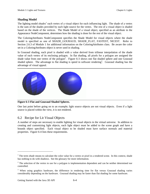## **Shading Model**

The lighting model *shades<sup>1</sup>* each vertex of a visual object for each influencing light. The shade of a vertex is the sum of the shades provided by each light source for the vertex. The rest of a visual object is shaded based on the shade of the vertices. The Shade Model of a visual object, specified as an attribute in the Appearance NodeComponent, determines how the shading is done for the rest of the visual object.

The ColoringAttributes NodeComponent specifies the Shade Model for visual objects where the shade model is specified as one of SHADE\_GOURAUD, SHADE\_FLAT, FASTEST, NICEST. Refer to Section 2.6.3 of Module 1 for additional information on the ColoringAttributes class. Be aware the color set in a ColoringAttributes object is never used in shading.

In Gouraud shading, each pixel is shaded with a value derived from trilinear interpolation of the shade value of each vertex of its enclosing polygon. In flat shading, all pixels for a polygon are assigned the shade value from one vertex of the polygon<sup>2</sup>. Figure 6-3 shows one flat shaded sphere and one Gouraud shaded sphere. The advantage to flat shading is speed in software rendering<sup>3</sup>. Gouraud shading has the advantage of visual appeal.



**Figure 6-3 Flat and Gouraud Shaded Spheres.**

One last point before going on to an example; light source objects are not visual objects. Even if a light source is placed within the view, it is not rendered.

## 6.2 Recipe for Lit Visual Objects

A number of steps are necessary to enable lighting for visual objects in the virtual universe. In addition to creating and customizing light objects, each light object must be added to the scene graph and have a bounds object specified. Each visual object to be shaded must have surface normals and material properties. Figure 6-4 lists these requirements.

 $\overline{a}$ 

<sup>&</sup>lt;sup>1</sup> The term *shade* means to calculate the color value for a vertex or pixel in a rendered scene. In this context, shade has nothing to do with shadows. See the glossary for more information.

 $2^{2}$  The selection of the vertex to use for a polygon is implementation dependent and can be neither determined nor controlled.

<sup>&</sup>lt;sup>3</sup> When using graphics hardware, the difference in rendering time for flat versus Gouraud shading varies considerably depending on the hardware. Gouraud shading may be faster than flat shading for some hardware.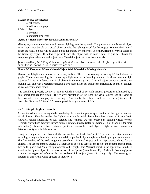| 1. Light Source specification |  |
|-------------------------------|--|
| a. set bounds                 |  |
| b. add to scene graph         |  |
| 2. Visual object              |  |
| a. normals                    |  |
| b. material properties        |  |

## **Figure 6-4 Items Necessary for Lit Scenes in Java 3D**

Missing any one of these items will prevent lighting from being used. The presence of the Material object in an Appearance bundle of a visual object enables the lighting model for that object. Without the Material object the visual object will be colored, but not shaded by either the ColoringAttribute or vertex colors of the Geometry object. If neither is present, then the object will be solid white. Figure 6-5 shows the exception given when a visual object has a Material object but no surface normals.

javax.media.j3d.IllegalRenderingStateException: Cannot do lighting without specifying normals in geometry object

## **Figure 6-5 Exception When a Visual Object With Material is Missing Normals.**

Mistakes with light sources may not be as easy to find. There is no warning for leaving light out of a scene graph. There is no warning for not setting a light source's influencing bounds. In either case, the light object will have no influence on visual objects in the scene graph. A visual object properly specified for shading (i.e., one with a Material object) in a live scene graph but outside the influencing bounds of all light source objects renders black.

It is possible to properly specify a scene in which a visual object with material properties influenced by a light object that renders black. The relative orientation of the light, the visual object, and the viewing direction all come into play in rendering. Periodically this chapter addresses rendering issues. In particular, Sections 6.3.6 and 6.5 present possible programming pitfalls.

## **6.2.1 Simple Lights Example**

As mentioned above, creating shaded renderings involves the proper specification of the light source and visual objects. Thus far, neither the Light classes nor Material objects have been discussed in any detail. However, taking advantage of API defaults and features, we can proceed in lighting virtual worlds. Geometric primitives generate surface normals when requested (refer to Section 2.3.8 of Module 1 for more information). Material Object defaults specify a reasonable visual object. Light source constructors' defaults specify usable light sources.

Using the SimpleUniverse class with the two methods of Code Fragment 6-1 produces a virtual universe including a single sphere with default material properties lit by a single AmbientLight light source object. The first method of the code fragment assembles a Material object with an Appearance object for the Sphere. The second method creates a BranchGroup object to serve as the root of the content branch graph, then adds Sphere and AmbientLight objects to the graph. The Material object in the appearance bundle is added to the Sphere object in the construction of the Sphere (lines 12 and 13). A default BoundingSphere provides the region of influence for the AmbientLight object (lines 15 through 17). The scene graph diagram of this virtual world appears in Figure 6-6.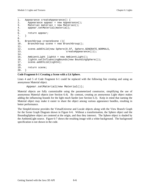```
1. Appearance createAppearance() {
2. Appearance appear = new Appearance();
3. Material material = new Material();
4. appear.setMaterial(material);
5.
6. return appear;
7. }
8.
9. BranchGroup createScene (){
10. BranchGroup scene = new BranchGroup();
11.
12. scene.addChild(new Sphere(0.5f, Sphere.GENERATE_NORMALS,
13. createAppearance()));
14.
15. AmbientLight lightA = new AmbientLight();
16. lightA.setInfluencingBounds(new BoundingSphere());
17. scene.addChild(lightA);
18.
19. return scene;
20. }
```
## **Code Fragment 6-1 Creating a Scene with a Lit Sphere.**

Lines 4 and 5 of Code Fragment 6-1 could be replaced with the following line creating and using an anonymous Material object.

Appear.setMaterial(new Material());

Material objects are fully customizable using the parameterized constructor, simplifying the use of anonymous Material objects (see Section 6.4). By contrast, creating an anonymous Light object makes adding the influencing bounds for the light much harder (see Section 6.3). Keep in mind that naming the Material object may make it easier to share the object among various appearance bundles, resulting in better performance.

The SimpleUniverse provides the VirtualUniverse and Locale objects along with the View Branch Graph for the Scene Graph Diagram shown in Figure 6-6. Without a transformation, the Sphere object and the BoundingSphere object are centered at the origin, and thus they intersect. The Sphere object is shaded by the AmbientLight source. Figure 6-7 shows the resulting image with a white background. The background specification is not shown in the code.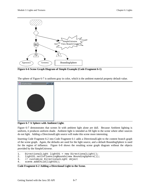

**Figure 6-6 Scene Graph Diagram of Simple Example (Code Fragment 6-1)**

The sphere of Figure 6-7 is uniform gray in color, which is the ambient material property default value.



**Figure 6-7 A Sphere with Ambient Light.**

Figure 6-7 demonstrates that scenes lit with ambient light alone are dull. Because Ambient lighting is uniform, it produces uniform shade. Ambient light is intended as fill light in the scene where other sources do not light. Adding a DirectionalLight source will make this scene more interesting.

Inserting Code Fragment 6-2 into Code Fragment 6-1 adds a DirectionalLight to the content branch graph of the scene graph. Again, the defaults are used for the light source, and a default BoundingSphere is used for the region of influence. Figure 6-8 shows the resulting scene graph diagram without the objects provided by the SimpleUniverse.

```
1. DirectionalLight lightD1 = new DirectionalLight();
```

```
2. lightD1.setInfluencingBounds(new BoundingSphere());<br>3. // customize DirectionalLight object
```

```
3. // customize DirectionalLight object
```

```
4. scene.addChild(lightD1);
```
## **Code Fragment 6-2 Adding a Directional Light to the Scene.**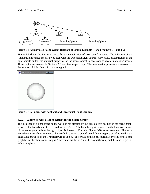

**Figure 6-8 Abbreviated Scene Graph Diagram of Simple Example (Code Fragment 6-1 and 6-2).**

Figure 6-9 shows the image produced by the combination of two code fragments. The influence of the AmbientLight object can hardly be seen with the DirectionalLight source. Obviously, customization of the light objects and/or the material properties of the visual object is necessary to create interesting scenes. These topics are covered in Sections 6.3 and 6.4, respectively. The next section presents a discussion of the location of light objects in the scene graph.



**Figure 6-9 A Sphere with Ambient and Directional Light Sources.**

## **6.2.2 Where to Add a Light Object in the Scene Graph**

The influence of a light object on the world is not affected by the light object's position in the scene graph; however, the bounds object referenced by the light is. The bounds object is subject to the local coordinates of the scene graph where the light object is inserted. Consider Figure 6-10 as an example. The same BoundingSphere object referenced by two light sources provided two different regions of influence due the translation provided by the TransformGroup object. The origin of the local coordinate system of the scene graph below the TransformGroup is 2 meters below the origin of the world (Locale) and the other region of influence sphere.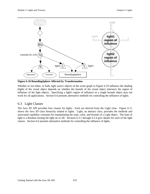

**Figure 6-10 BoundingSphere Affected by Transformation**

Whether or not either, or both, light source objects of the scene graph in Figure 6-10 influence the shading (light) of the visual object depends on whether the bounds of the visual object intersects the region of influence of the light objects. Specifying a light's region of influence as a single bounds object may not work for all applications. Section 6.6 presents alternative methods for controlling the influence of lights.

## 6.3 Light Classes

The Java 3D API provides four classes for lights. Each are derived from the Light class. Figure 6-11 shows the Java 3D class hierarchy related to lights. Light, an abstract class, provides the methods and associated capability constants for manipulating the state, color, and bounds of a Light object. The state of light is a Boolean turning the light on or off. Sections 6.3.1 through 6.3.4 give details for each of the light classes. Section 6.6 presents alternative methods for controlling the influence of lights.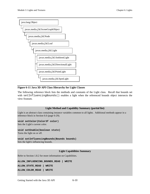

## **Figure 6-11 Java 3D API Class Hierarchy for Light Classes**

The following reference block lists the methods and constants of the Light class. Recall that bounds set with setInfluencingBounds() enables a light when the referenced bounds object intersects the view frustum.

#### **Light Method and Capability Summary (partial list)**

Light is an abstract class containing instance variables common to all lights. Additional methods appear in a reference block in Section 6.6 (page 6-29).

**void setColor(Color3f color)** Sets the Light's current color.

**void setEnable(boolean state)**

Turns the light on or off.

**void setInfluencingBounds(Bounds bounds)** Sets the light's influencing bounds.

### **Light Capabilities Summary**

Refer to Section 1.8.2 for more information on Capabilities.

```
ALLOW_INFLUENCING_BOUNDS_READ | WRITE
```
**ALLOW\_STATE\_READ | WRITE ALLOW\_COLOR\_READ | WRITE**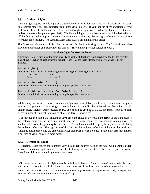## **6.3.1 Ambient Light**

Ambient light objects provide light of the same intensity in all locations<sup>4</sup> and in all directions. Ambient light objects model the light reflected from other visual objects. If you look up at the underside of your desk, you will see the bottom surface of the desk although no light source is directly shining on that surface (unless you have a lamp under your desk). The light shining up on the bottom surface of the desk reflected off the floor and other objects. In natural environments with many objects, light reflects off many objects to provide ambient light. The AmbientLight class in Java 3D simulates this effect.

The following reference block lists the constructors for the AmbientLight class. The Light abstract class provides the methods and capabilities for this class (listed in the previous reference block).

## **AmbientLight Constructor Summary**

A light source object providing the same intensity of light at all locations in all directions. Models the complex inter-object reflection of light present in natural scenes. See the Light Method Summary on page 6-10 for methods.

**AmbientLight()** Constructs and initializes an ambient light source using the following default values: lightOn true color (1, 1, 1)

## **AmbientLight(Color3f color)**

Constructs and initializes an ambient light using the specified parameters.

## **AmbientLight(boolean lightOn, Color3f color)**

Constructs and initializes an ambient light using the specified parameters.

While it may be natural to think of an ambient light source as globally applicable, it is not necessarily true in a Java 3D program. AmbientLight source influence is controlled by its bounds just like other Java 3D light sources. Multiple AmbientLight source objects can be used in a Java 3D program. There is no limit on the number of AmbientLight source objects in Java 3D programs<sup>5</sup>.

As mentioned in Section 6.1 (Shading in Java 3D ), the shade of a vertex is the result of the light sources, the material properties of the visual object, and their relative geometry (distance and orientation). For ambient reflections, the geometry is not a factor. The ambient material property is only used in calculating the ambient reflection. The lighting model calculates the ambient reflection of light as the product of AmbientLight intensity and the ambient material properties of visual object. Section 6.4 presents material properties of visual objects in more detail.

## **6.3.2 Directional Light**

<u>.</u>

A DirectionalLight source approximates very distant light sources such as the sun. Unlike AmbientLight sources, DirectionalLight sources provide light shining in one direction only. For objects lit with a DirectionalLight source, the Light vector is constant.

<sup>&</sup>lt;sup>4</sup> Of course, the influence of the light source is limited by its bounds. "In all locations" means under the visual object as well as over it when the light source's bounds intersects the ambient light source's region of influence.

<sup>&</sup>lt;sup>5</sup> While the Java 3D API imposes no limit on the number of light sources, the implementation may. See page 6-20 for more information on the Limit on the Number of Lights.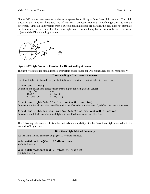Figure 6-12 shows two vertices of the same sphere being lit by a DirectionalLight source. The Light Vector is the same for these two and all vertices. Compare Figure 6-12 with Figure 6-1 to see the difference. Since all light vectors from a DirectionalLight source are parallel, the light does not attenuate. In other words, the intensity of a DirectionalLight source does not vary by the distance between the visual object and the DirectionalLight source.



## **Figure 6-12 Light Vector is Constant for DirectionalLight Source.**

The next two reference block list the constructors and methods for DirectionalLight object, respectively.

#### **DirectionalLight Constructor Summary**

DirectionalLight objects model very distant light sources having a constant light direction vector.

#### **DirectionalLight()**

Constructs and initializes a directional source using the following default values:

lightOn true  $color(1, 1, 1)$ <br>direction  $(0, 0, -1)$  $(0, 0, -1)$ 

#### **DirectionalLight(Color3f color, Vector3f direction)**

Constructs and initializes a directional light with specified color and direction. By default the state is true (on).

#### **DirectionalLight(boolean lightOn, Color3f color, Vector3f direction)**

Constructs and initializes a directional light with specified state, color, and direction.

The following reference block lists the methods and capability bits the DirectionalLight class adds to the methods of Light class.

#### **DirectionalLight Method Summary**

See the Light Method Summary on page 6-10 for more methods.

**void setDirection(Vector3f direction)** Set light direction.

**void setDirection(float x, float y, float z)** Set light direction.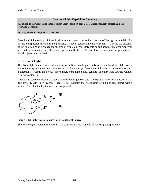## **DirectionalLight Capabilities Summary**

In addition to the Capabilities inherited from Light (listed on page 6-11), DirectionalLight objects have the following Capability.

#### **ALLOW\_DIRECTION\_READ | WRITE**

DirectionalLights only participate in diffuse and specular reflection portions of the lighting model. For diffuse and specular reflections, the geometry is a factor (unlike ambient reflections). Varying the direction of the light source will change the shading of visual objects. Only diffuse and specular material properties are used in calculating the diffuse and specular reflections. Section 6.4 presents material properties of visual objects in more detail.

## **6.3.3 Point Light**

The PointLight is the conceptual opposite of a DirectionalLight. It is an omni-directional light source whose intensity attenuates with distance and has location. (A DirectionalLight source has no location, just a direction.) PointLight objects approximate bare light bulbs, candles, or other light sources without reflectors or lenses.

A quadratic equation models the attenuation of PointLight sources. The equation is found in Section E.2 of The Java 3D API Specification. Figure 6-13 illustrates the relationship of a PointLight object with a sphere. Note that the light vectors are not parallel.



## **Figure 6-13 Light Vector Varies for a PointLight Source.**

The following two reference blocks list the constructors and methods of PointLight, respectively.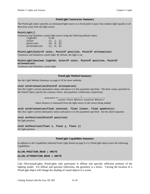#### **PointLight Constructor Summary**

The PointLight object specifies an attenuated light source at a fixed point in space that radiates light equally in all directions away from the light source.

#### **PointLight()**

Constructs and initializes a point light source using the following default values:

| lightOn     | true      |  |  |
|-------------|-----------|--|--|
| color       | (1, 1, 1) |  |  |
| position    | (0, 0, 0) |  |  |
| attenuation | (1, 0, 0) |  |  |

**PointLight(Color3f color, Point3f position, Point3f attenuation)**

Constructs and initializes a point light. By default, the light is on.

**PointLight(boolean lightOn, Color3f color, Point3f position, Point3f attenuation)**

Constructs and initializes a point light.

#### **PointLight Method Summary**

See the Light Method Summary on page 6-10 for more methods.

#### **void setAttenuation(Point3f attenuation)**

Sets this Light's current attenuation values and places it in the parameter specified. The three values specified in the Point3f object specify the *constant*, *linear*, and *quadratic* coefficients, respectively.

> $\emph{constant}$  + linear \* distance + quadratic \* distance<sup>2</sup> 1 *attenuation* =

where *distance* is measured from the light source to the vertex being shaded.

**void setAttenuation(float constant, float linear, float quadratic)** Sets this Light's current attenuation values and places it in the parameter specified. See the above equation.

**void setPosition(Point3f position)** Set light position.

**void setPosition(float x, float y, float z)**

Set light position.

#### **PointLight Capabilities Summary**

In addition to the Capabilities inherited from Light (listed on page 6-11), PointLight objects have the following Capabilities.

**ALLOW\_POSITION\_READ | WRITE**

**ALLOW\_ATTENUATION\_READ | WRITE**

Like DirectionalLights, PointLights only participate in diffuse and specular reflection portions of the lighting model. For diffuse and specular reflections, the geometry is a factor. Varying the location of a PointLight object will change the shading of visual objects in a scene.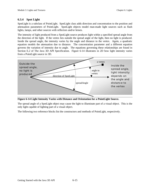## **6.3.4 Spot Light**

SpotLight is a subclass of PointLight. SpotLight class adds direction and concentration to the position and attenuation parameters of PointLight. SpotLight objects model man-made light sources such as flash lights, lamps, and other sources with reflectors and/or lenses.

The intensity of light produced from a SpotLight source produces light within a specified spread angle from the direction of the light. If the vertex lies outside the spread angle of the light, then no light is produced. Inside the spread angle, the intensity varies by the angle and distance to the vertex. Again, a quadratic equation models the attenuation due to distance. The concentration parameter and a different equation governs the variation of intensity due to angle. The equations governing these relationships are found in Section E.2 of The Java 3D API Specification. Figure 6-14 illustrates in 2D how light intensity varies from a PointLight source in 3D.



**Figure 6-14 Light Intensity Varies with Distance and Orientation for a PointLight Source.**

The spread angle of a SpotLight object may cause the light to illuminate part of a visual object. This is the only light capable of lighting part of a visual object.

The following two reference blocks list the constructors and methods of PointLight, respectively.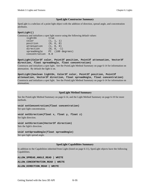#### **SpotLight Constructor Summary**

SpotLight is a subclass of a point light object with the addition of direction, spread angle, and concentration attributes.

#### **SpotLight()**

Constructs and initializes a spot light source using the following default values:

lightOn true<br>color (1, 1, 1) color (1, 1, 1) position (0, 0, 0) attenuation (1, 0, 0) direction (0, 0, -1) spreadAngle PI (180 degrees) concentration 0.0

**SpotLight(Color3f color, Point3f position, Point3f attenuation, Vector3f direction, float spreadAngle, float concentration)**

Constructs and initializes a spot light. See the PointLight Method Summary on page 6-14 for information on attenuation. By default the light is on.

**SpotLight(boolean lightOn, Color3f color, Point3f position, Point3f attenuation, Vector3f direction, float spreadAngle, float concentration)** Constructs and initializes a spot light. See the PointLight Method Summary on page 6-14 for information on attenuation.

#### **SpotLight Method Summary**

See the PointLight Method Summary on page 6-14, and the Light Method Summary on page 6-10 for more methods.

**void setConcentration(float concentration)**

Set spot light concentration.

## **void setDirection(float x, float y, float z)**

Set light direction.

#### **void setDirection(Vector3f direction)**

Sets the light's direction.

#### **void setSpreadAngle(float spreadAngle)**

Set spot light spread angle.

#### **SpotLight Capabilities Summary**

In addition to the Capabilities inherited from Light (listed on page 6-11), SpotLight objects have the following Capabilities.

**ALLOW\_SPREAD\_ANGLE\_READ | WRITE**

**ALLOW\_CONCENTRATION\_READ | WRITE**

```
ALLOW_DIRECTION_READ | WRITE
```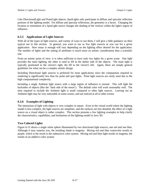Like DirectionalLight and PointLight objects, SpotLights only participate in diffuse and specular reflection portions of the lighting model. For diffuse and specular reflections, the geometry is a factor. Changing the location or orientation of a SpotLight source changes the shading of the vertices within the light's region of influence.

## **6.3.5 Applications of Light Sources**

With all of the types of light sources, and variety of ways to use them, I will give a little guidance on their typical use in this section. In general, you want to use as few light sources as you can for a given application. How many is enough will vary depending on the lighting effect desired for the application. The number of lights and the setting of attributes is much more an artistic consideration than a scientific one.

From an artistic point of view, it is often sufficient to have only two lights for a given scene. One light provides the main lighting, the other is used to fill in the darker side of the objects. The main light is typically positioned to the viewer's right, the fill to the viewer's left. Again, these are simply general guidelines for what can be a complex artistic design.

Including Directional light sources is preferred for most applications since the computation required in rendering is significantly less than for point and spot lights. Point light sources are rarely used due to the high computational complexity.

Including a single Ambient light source with a large region of influence is normal. This will light the backsides of objects (like the "dark side of the moon"). The default color will work reasonably well. The time required to include the Ambient light is small compared to other light sources. Leaving out an Ambient light may be very noticeable in some scenes, and not noticed at all in other scenes.

## **6.3.6 Examples of Lighting**

The interaction of light with objects is very complex in nature. Even in the virtual world where the lighting model is less complex, the light sources are simplistic, and the surfaces are less detailed, the effect of a light source on a visual object is rather complex. This section presents a few lighting examples to help clarify the characteristics, capabilities, and limitations of the lighting model in Java 3D.

## **Two Colored Lights**

Figure 6-15 shows a single white sphere illuminated by two directional light sources, one red and one blue. Although it may surprise you, the resulting shade is magenta. Mixing red and blue watercolor results in purple, which is the result in the subtractive color system. Mixing red and blue light results in magenta, the results of an additive color system.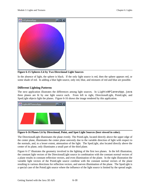

**Figure 6-15 Spheres Lit by Two Directional Light Sources**

In the absence of light, the sphere is black. If the only light source is red, then the sphere appears red, or some shade of red. In adding a blue light source, only red, blue, and mixtures of red and blue are possible.

## **Different Lighting Patterns**

The next application illustrates the differences among light sources. In LightsNPlanesApp.java three planes are lit by one light source each. From left to right, DirectionalLight, PointLight, and SpotLight objects light the planes. Figure 6-16 shows the image rendered by this application.



**Figure 6-16 Planes Lit by Directional, Point, and Spot Light Sources (best viewed in color).**

The DirectionalLight illuminates the plane evenly. The PointLight, located directly above the upper edge of the center plane, illuminates the center plane unevenly due to the variable direction of light with respect to the normals, and, to a lesser extent, attenuation of the light. The SpotLight, also located directly above the center of its plane, only illuminates a small part of the third plane.

Figure 6-17 illustrates the geometry involved in the lighting of the first two planes. In the left illustration, the constant light vectors of the DirectionalLight source in combination with the constant normal vectors of a plane results in constant reflection vectors, and even illumination of the plane. In the right illustration the variable light vectors of the PointLight source combine with the constant normal vectors of the plane resulting in various directions for reflection vectors, and uneven illumination of the plane. The SpotLight is a special case of the PointLight source where the influence of the light source is limited by the spread angle.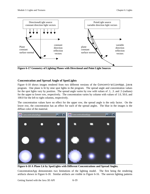

**Figure 6-17 Geometry of Lighting Planes with Directional and Point Light Sources**

## **Concentration and Spread Angle of SpotLights**

Figure 6-18 shows images rendered from two different versions of the ConcentrationApp.java program. One plane is lit by nine spot lights in the program. The spread angle and concentration values for the spot lights vary by position. The spread angle varies by row with values of .1, .3. and .5 (radians) for the upper to lower row, respectively. The concentration varies by column with values of 1.0, 50.0, and 100.0 for the left to right columns, respectively.

The concentration values have no effect for the upper row, the spread angle is the only factor. On the lower row, the concentration has an effect for each of the spread angles. The blue in the images is the diffuse color of the material.



**Figure 6-18 A Plane Lit by SpotLights with Different Concentrations and Spread Angles.**

ConcentrationApp demonstrates two limitations of the lighting model. The first being the rendering artifacts shown in Figure 6-18. Similar artifacts are visible in Figure 6-16. The uneven lighting patterns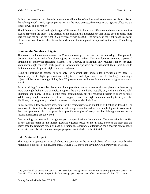for both the green and red planes is due to the small number of vertices used to represent the planes. Recall the lighting model is only applied per vertex. So the more vertices, the smoother the lighting effect and the longer it will take to render.

The difference in the left and right images of Figure 6-18 is due to the difference in the number of vertices used to represent the plane. The version of the program that generated the left image used 16 times more vertices than the one on the right (2,500 vertices versus 40,000). The artifacts in the right image is a result of the reduction of vertex density on the surface and the triangulation imposed by the Java 3D rendering system.

## **Limit on the Number of Lights**

The second limitation demonstrated in ConcentrationApp is not seen in the rendering. The plane in ConcentrationApp is really four plane objects next to each other. This was done to overcome a potential limitation of underlying rendering system. The OpenGL specification only requires support for eight simultaneous light sources<sup>6</sup>. If the plane in ConcentrationApp were one visual object, then OpenGL would limit the number of lights to eight for some machines.

Using the influencing bounds to pick only the relevant light sources for a visual object, Java 3D dynamically creates light specifications for lights as visual objects are rendered. As long as no single object is lit by more than eight lights, Java 3D programs are not limited in the number of lights in a virtual world.

So in providing four smaller planes and the appropriate bounds to ensure that no plane is influenced by more than eight lights in the example, it appears there are nine lights (actually ten, with the ambient light) illuminate one plane. It takes a little more programming, but the resulting program is more portable. While many implementations of OpenGL support more than eight simultaneous lights, if you plan distribute your programs, you should be aware of this potential limitation.

In this section, a few examples show some of the characteristics and limitation of lighting in Java 3D. The intention of this section is to give readers basic usage examples and some example figures to compare to their own programs. It is not possible to provide examples of every possible lighting situation, as the factors in rendering are too varied.

One last thing, the point and spot light support the specification of attenuation. The attenuation is specified by the constant terms in the inverse quadratic equation based on the distance between the light and the vertex (see the reference block on page ). Finding the appropriate attenuation for a specific application is an artistic issue. No attenuation example programs are included in this tutorial.

## 6.4 Material Object

 $\overline{a}$ 

The material properties of a visual object are specified in the Material object of an appearance bundle. Material is a subclass of NodeComponent. Figure 6-19 shows the Java 3D API hierarchy for Material.

Getting Started with the Java 3D API 6-20

<sup>&</sup>lt;sup>6</sup> As you should be aware, the Java 3D API uses low level graphics systems for rendering (currently OpenGL or DirectX). The limitations of a particular low level graphics system may affect the results of a Java 3D program.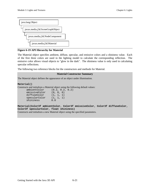

## **Figure 6-19 API Hierarchy for Material**

The Material object specifies ambient, diffuse, specular, and emissive colors and a shininess value. Each of the first three colors are used in the lighting model to calculate the corresponding reflection. The emissive color allows visual objects to "glow in the dark". The shininess value is only used in calculating specular reflections.

The following two reference blocks list the constructors and methods for Material.

#### **Material Constructor Summary**

The Material object defines the appearance of an object under illumination.

#### **Material()**

Constructs and initializes a Material object using the following default values:

| ambientColor  | (0.2, 0.2, 0.2) |  |
|---------------|-----------------|--|
| emissiveColor | (0, 0, 0)       |  |
| diffuseColor  | (1, 1, 1)       |  |
| specularColor | (1, 1, 1)       |  |
| shininess     | 0.0             |  |

**Material(Color3f ambientColor, Color3f emissiveColor, Color3f diffuseColor, Color3f specularColor, float shininess)**

Constructs and initializes a new Material object using the specified parameters.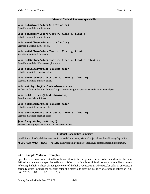#### **Material Method Summary (partial list)**

#### **void setAmbientColor(Color3f color)**

Sets this material's ambient color.

#### **void setAmbientColor(float r, float g, float b)** Sets this material's ambient color.

#### **void setDiffuseColor(Color3f color)**

Sets this material's diffuse color.

#### **void setDiffuseColor(float r, float g, float b)**

Sets this material's diffuse color.

**void setDiffuseColor(float r, float g, float b, float a)** Sets this material's diffuse color plus alpha.

## **void setEmissiveColor(Color3f color)**

Sets this material's emissive color.

## **void setEmissiveColor(float r, float g, float b)**

Sets this material's emissive color.

#### **void setLightingEnable(boolean state)** Enables or disables lighting for visual objects referencing this appearance node component object.

## **void setShininess(float shininess)**

Sets this material's shininess.

**void setSpecularColor(Color3f color)** Sets this material's specular color.

## **void setSpecularColor(float r, float g, float b)**

Sets this material's specular color.

#### **java.lang.String toString()**

Returns a String representation of this Materials values.

#### **Material Capabilities Summary**

In addition to the Capabilities inherited from NodeComponent, Material objects have the following Capability.

**ALLOW\_COMPONENT\_READ | WRITE** allows reading/writing of individual component field information.

## **6.4.1 Simple Material Examples**

Specular reflections occur naturally with smooth objects. In general, the smoother a surface is, the more defined and intense the specular reflection. When a surface is sufficiently smooth, it acts like a mirror reflecting the light without changing the color of the light. Consequently, the specular color of an object is normally white. Change the specular color of a material to alter the intensity of a specular reflection (e.g., Color3f(0.8f, 0.8f, 0.8f)).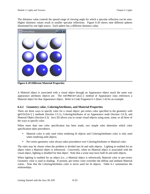The shininess value controls the spread range of viewing angle for which a specular reflection can be seen. Higher shininess values result in smaller specular reflections. Figure 6-20 shows nine different spheres illuminated by one light source. Each sphere has a different shininess value.



**Figure 6-20 Different Material Properties**

A Material object is associated with a visual object through an Appearance object much the same way appearance attributes objects are. The setMaterial() method of Appearance class references a Material object for that Appearance object. Refer to Code Fragment 6-1 (lines 1-4) for an example.

## **6.4.2 Geometry color, ColoringAttributes, and Material Properties**

There are three ways to specify color for a visual object: per-vertex color specified in the geometry with getColor() methods (Section 2.5.1), ColoringAttributes of an Appearance node (Section 2.6.3), and Material Object (Section 6.3). Java 3D allows you to create visual objects using none, some, or all three of the ways to specify color.

When more than one color specification has been made, two simple rules determine which color specification takes precedence.

- Material color is only used when rendering lit objects and ColoringAttributes color is only used when rendering unlit objects.
- Per-vertex geometry color always takes precedence over ColoringAttributes or Material color.

The rules may be clearer when the problem is divided into lit and unlit objects. Lighting in enabled for an object when a Material object is referenced. Conversely, when no Material object is associated with the visual object, lighting is disabled for that object. Note that a scene may have both lit and unlit objects.

When lighting is enabled for an object (i.e., a Material object is referenced), Material color or per-vertex Geometry color is used in shading. If present, per-vertex color overrides the diffuse and ambient Material colors. Note that the ColoringAttributes color is never used for lit objects. Table 6-1 summarizes the relationships.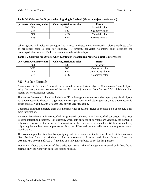| per-vertex Geometry color | <b>ColoringAttributes color</b> | <b>Result</b>  |
|---------------------------|---------------------------------|----------------|
| NΟ                        | NΩ                              | Material color |
| ΥES                       | NΟ                              | Geometry color |
| NΟ                        | YES                             | Material color |
| <b>FS</b>                 | 7FS                             | Geometry color |

## **Table 6-1 Coloring for Objects when Lighting is Enabled (Material object is referenced)**

When lighting is disabled for an object (i.e., a Material object is not referenced), ColoringAttributes color or per-vertex color is used for coloring. If present, per-vertex Geometry color overrides the ColoringAttributes color. Table 6-2 summarizes the relationships.

**Table 6-2 Coloring for Objects when Lighting is Disabled (no Material object is referenced)**

| per-vertex Geometry color | <b>ColoringAttributes color</b> | <b>Result</b>      |
|---------------------------|---------------------------------|--------------------|
| NΟ                        | NО                              | flat white         |
| YES                       | NΟ                              | Geometry color     |
| NΟ                        | YES                             | ColoringAttributes |
| YES                       | 7FS                             | Geometry color     |

## 6.5 Surface Normals

As mentioned in Section 6.2, normals are required for shaded visual objects. When creating visual objects using Geometry classes, use one of the setNormal() methods from Section 2.5.1 of Module 1 to specify per vertex normal vectors.

The NormalGenerator included with the Java 3D utilities generates normals when specifying visual objects using GeometryInfo objects. To generate normals, put your visual object geometry into a GeometryInfo object and call NormalGenerator.generateNormals().

Geometric primitives generate their own normals when specified. Refer to Section 2.3.8 of Module 1 for more information.

No matter how the normals are specified (or generated), only one normal is specified per vertex. This leads to some interesting problems. For example, when both surfaces of polygons are viewable, the normal is only correct for one of the surfaces. The result is for the back faces to be rendered (if they are rendered) only using the ambient material properties. Both the diffuse and specular reflections require proper normal specification.

This common problem is solved by specifying back face normals as the inverse of the front face normals. (See Section 2.6.4 of Module 1 for a discussion of front and back faces.) Use the setBackFaceNormalFlip() method of a PolygonAttributes object for this purpose.

Figure 6-21 shows two images of the shaded twist strip. The left image was rendered with front facing normals only, the right with back face flipped normals.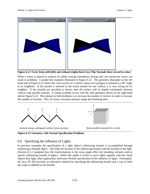

**Figure 6-21 Twist Strip with (left) and without (right) Back Face Flip Normals (best viewed in color)**

When a vertex is shared by surfaces of widely varying orientations, having only one normal per vertex can result in problems. Consider the examples illustrated in Figure 6-22. The geometry illustrated on the left hand side of Figure 6-22 shows the cross section of a surface where each polygon is oriented at a 90° angle to its neighbors. If the normal is selected as the actual normal for one surface, it is very wrong for its neighbor. If the normals are specified as shown, then the surface will be shaded consistently between vertices with parallel normals. A similar problem occurs with the cube geometry shown on the right hand side in Figure 6-22. The solution to both problems is to increase the number of vertices in order to increase the number of normals. This, of course, increases memory usage and rendering time.



**Figure 6-22 Geometry with Normal Specification Problems**

## 6.6 Specifying the Influence of Lights

In previous examples the specification of a light object's influencing bounds is accomplished through referencing a Bounds object. This links the location of the influencing bounds with the location of the light. (Section 6.2.2 explained how the transformations in the scene graph affect the bounding volumes used to specify influencing bounds of lights.) While this makes it trivial to move lights together with the visual objects they light, other applications need more flexible specification of the influence of lights. Fortunately, the Java 3D API provides an alternative method for specifying the influencing bounds and a way to limit the scope in addition to the bounds.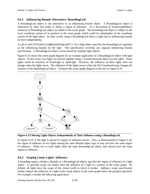## **6.6.1 Influencing Bounds Alternative: BoundingLeaf**

A BoundingLeaf object is one alternative to an influencing bounds object. A BoundingLeaf object is referenced by other leaf nodes to define a region of influence. As a descendant of SceneGraphObject, instances of BoundingLeaf object are added to the scene graph. The BoundingLeaf object is subject to the local coordinate system of its position in the scene graph, which could be independent of the coordinate system of the light object. In other words, using a BoundingLeaf allows a light and its influencing bounds to move independently.

A call to setInfluencingBoundingLeaf() for a light object specifies the BoundingLeaf argument as the influencing bounds for the light. This specification overrides any regional influencing bounds specification. A BoundingLeaf object can be shared by multiple light objects.

Figure 6-23 shows the scene graph diagram for an example application of a BoundingLeaf object with light objects. In this scene, two lights are moved together using a TransformGroup object (on the right). These lights could be instances of PointLight or SpotLight. However, the influence of these lights does not change when the lights move. The influence of the lights moves when the left TransformGroup changes the location of the BoundingLeaf object. Compare this scene graph diagram to the one in Figure 6-10.



**Figure 6-23 Moving Light Objects Independently of Their Influence using a BoundingLeaf.**

In Figure 6-10, if the light is moved it's region of influence moves. Also, as demonstrated in Figure 6-10, the region of influence of two lights sharing the same Bounds object may or may not have the same region of influence. When two or more lights share the same BoundingLeaf object, they always have the same region of influence.

## **6.6.2 Scoping Limits Lights' Influence**

A bounding region, whether a Bounds or a BoundingLeaf object, specifies the region of influence of a light object. A specified scope can further limit the influence of a light to a portion of the scene graph. By default, all lights have the scope of the virtual world in which it resides. Adding a scope specification further reduces the influence of a light to the visual objects in the scene graph below the group(s) specified. For example, consider the following application.

Getting Started with the Java 3D API 6-26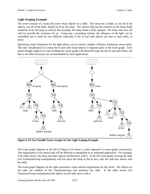## **Light Scoping Example**

The scene consists of a lamp and some visual objects on a table. The lamp has a shade, so not all of the objects, nor all of the table, should be lit by the lamp. The interior (but not the exterior) of the lamp shade should be lit by the lamp as well (in this example, the lamp shade is fully opaque). We know that Java 3D will not provide the occlusion for us. Using just a bounding volume, the influence of the light can be controlled, but it could be very difficult, especially if the lit and unlit objects are near to each other, or move.

Specifying scope limitations for the light allows you to control complex influence limitations more easily. The only consideration is to keep the lit and unlit visual objects in separate parts of the scene graph. Your initial thought might be to start building the scene graph with BranchGroups for the lit and unlit items, but that is not often necessary nor recommended for most applications.



**Figure 6-24 Two Possible Scene Graphs for the Light Scoping Example.**

The scene graph diagram on the left of Figure 6-24 shows a naïve approach to scene graph construction. The organization is not natural and will be difficult to manipulate in an animated application. For example, if the table moves, the lamp and other objects should move with it. In the left scene graph, moving the table (via TransformGroup manipulation) will not move the lamp or the lit box; only the unlit box moves with the table.

The scene graph diagram on the right represents a more natural organization for the scene. The objects on the table are children of the TransformGroup that positions the table. If the table moves (via TransformGroup manipulation) the objects on the table move with it.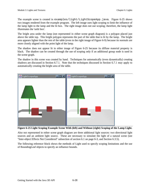The example scene is created in  $\exp\left(\frac{1}{\pi} \frac{t}{\ln t} \right)$  and  $\exp\left(\frac{1}{\pi} \frac{t}{\ln t}\right)$  and  $\frac{t}{\ln t}$  figure 6-25 shows two images rendered from the example program. The left image uses light scoping to limit the influence of the lamp light to the lamp and the lit box. The right image does not use scoping; therefore, the lamp light illuminates the 'unlit box'.

The bright area under the lamp (not represented in either scene graph diagram) is a polygon placed just above the table top. This bright polygon represents the part of the table that is lit by the lamp. The bright area appears lighter than the rest of the table (even in the right image of Figure 6-9) because its normals are more closely aligned with the point light of the lamp.

The shadow does not appear lit in either image of Figure 6-25 because its diffuse material property is black. The shadow can be created through the use of scoping only if an additional group node is used in the scene graph.

The shadow in this scene was created by hand. Techniques for automatically (even dynamically) creating shadows are discussed in Section 6.7.1. Note that the techniques discussed in Section 6.7.1 may apply to automatically creating the bright area of the table.



**Figure 6-25 Light Scoping Example Scene With (left) and Without (right) Scoping of the Lamp Light.**

Also not represented in either scene graph diagram are three additional light sources: two directional light sources and an ambient light source. These are necessary to simulate the light of a natural scene (see "Inter-object Effects Not Considered" subsection of section 6.1 on page 6-3, and Section 6.3.5).

The following reference block shows the methods of Light used to specify scoping limitations and the use of BoundingLeaf objects to specify an influence bounds.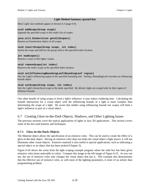## **Light Method Summary (partial list)**

More Light class methods appear in Section 6.3 (page 6-9).

#### **void addScope(Group scope)**

Appends the specified scope to this node's list of scopes.

#### **java.util.Enumeration getAllScopes()**

Returns an Enumeration object of all scopes.

#### **void insertScope(Group scope, int index)**

Inserts the scope specified by the group node at the specified index location.

**int numScopes()**

Returns a count of this lights' scopes.

#### **void removeScope(int index)**

Removes the node's scope at the specified index location.

#### **void setInfluencingBoundingLeaf(BoundingLeaf region)**

Sets the Light's influencing region to the specified bounding leaf. Setting a BoundingLeaf overrides an influencing bounds object.

### **void setScope(Group scope, int index)**

Sets the Light's hierarchical scope at the index specified. By default, lights are scoped only by their region of influence bounds.

One other benefit of using scopes to limit a light's influence: it may reduce rendering time. Calculating the bounds intersection for a visual object with the influencing bounds of a light is more complex than determining the scope of a light. Be aware that neither using influencing bounds nor scopes will limit a light's influence to part of a visual object.

## 6.7 Creating Glow-in-the-Dark Objects, Shadows, and Other Lighting Issues

The previous sections cover the typical applications of lights in Java 3D applications. This section covers some of the less used features and techniques.

## **6.7.1 Glow-in-the-Dark Objects**

The Material object allows the specification of an emissive color. This can be used to create the effect of a glow-in-the-dark object. Having an emissive color does not make the visual object a light source; it will not illuminate other visual objects. Emissive material is also useful in special applications, such as indicating a special object or an object that has been picked (Chapter 5).

Figure 6-26 shows the scene from the light scoping example program where the unlit box has been given emissive color (most noticeable in color). Compare this image to the left image of Figure 6-25. As you can see, the use of emissive color only changes the visual object that has it. This example also demonstrates that the effective use of emissive color, as with most of the lighting parameters, is more of an artistic than programming problem.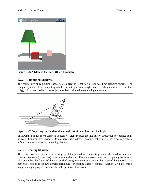

**Figure 6-26 A Glow-in-the-Dark Object Example.**

## **6.7.2 Computing Shadows**

The complexity of computing shadows is so great it is not part of any real-time graphics system. The complexity comes from computing whether or not light from a light source reaches a vertex. Every other polygon from every other visual object must be considered in computing the answer.



**Figure 6-27 Projecting the Shadow of a Visual Object to a Plane for One Light**

Shadowing is much more complex in reality. Light sources are not purely directional nor perfect point sources. Consequently, shadows do not have sharp edges. Ignoring reality, as we often do in graphics, let's take a look at ways for simulating shadows.

## **6.7.3 Creating Shadows**

There are two basic parts to simulating (or faking) shadows: computing where the shadows are, and creating geometry (or textures) to serve as the shadow. There are several ways of computing the location of shadow, but the details of the various shadowing techniques are beyond the scope of this tutorial. The next two sections cover two general techniques for creating shadow content. Section 6.7.4 presents a simple example program that calculates the position of shadows.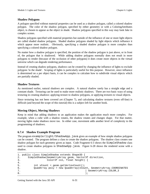## **Shadow Polygons**

A polygon specified without material properties can be used as a shadow polygon, called a colored shadow polygon. The color of the shadow polygon, specified by either geometry or with a ColoringAttributes object, is chosen to appear as the object in shade. Shadow polygons specified in this way may look fake in complex scenes.

Shadow polygons specified with material properties but outside of the influence of one or more light objects are called shaded shadow polygons. Shaded shadow polygons shaded by light objects which influence it which appear more realistic. Obviously, specifying a shaded shadow polygon is more complex than specifying a colored shadow polygon.

No matter how a shadow polygon is specified, the position of the shadow polygon is just above, or in front of, the polygon that is shadowed. While adding shadow polygons normally does not result in more polygons to render (because of the occlusion of other polygons) it does create more objects in the virtual universe which can degrade rendering performance.

Instead of creating shadow polygons, shadows can be created by changing the influence of lights to exclude polygons 'in the shade'. Scoping of lights is particularly useful for this purpose. However, since influence is determined on a per object basis, it can be complex to calculate how to subdivide visual objects which are partially shaded.

## **Shadow Textures**

As mentioned earlier, natural shadows are complex. A natural shadow rarely has a straight edge and a constant shade. Texturing can be used to make more realistic shadows. There are two basic ways of using texturing in creating shadows: applying texture to shadow polygons, or applying textures to visual objects.

Since texturing has not been covered yet (Chapter 7), and calculating shadow textures (even off-line) is difficult (and beyond the scope of this tutorial) this is a subject left for another book.

## **Moving Object, Moving Shadows**

Keep in mind that adding shadows to an application makes the application much more complex. For example, when a cube with a shadow rotates, the shadow rotates and changes shape. For that matter, moving lights make shadows move too. In either case, movement adds another level of complexity to the programming of shadows.

## **6.7.4 Shadow Example Program**

The program example/light/ShadowApp.java gives an example of how simple shadow polygons can be created. The program defines a class to create the shadow polygons. The shadow class creates one shadow polygon for each geometry given as input. Code Fragment 6-3 shows the SimpleShadow class used to create shadow polygons in ShadowApp. java. Figure 6-28 shows the rendered scene with a shadow.

```
1. public class SimpleShadow extends Shape3D {
2. SimpleShadow(GeometryArray geom, Vector3f direction,
3. Color3f col, float height) {
4.
5. int vCount = qeom.getVertexCount();
6. QuadArray poly = new QuadArray(vCount, GeometryArray.COORDINATES
7. | GeometryArray.COLOR_3
8. ):
```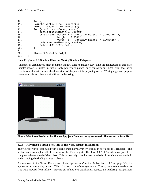```
\frac{9}{10}.
10. int v;<br>11. Point3
         Point3f vertex = new Point3f();
12. Point3f shadow = new Point3f();
13. for (v = 0; v < vCount; v++) {
14. geom.getCoordinate(v, vertex);
15. shadow.set( vertex.x + (vertex.y-height) * direction.x,
16. height + 0.0001f,
17. vertex.z + (vertex.y-height) * direction.y);
18. poly.setCoordinate(v, shadow);
19. poly.setColor(v, col);
20. }
21.
22. this.setGeometry(poly);
23. }
```
## **Code Fragment 6-3 Shadow Class for Making Shadow Polygons.**

A number of assumptions made in SimpleShadow class (to make it easy) limit the applications of this class. SimpleShadow is limited in that it: only projects to planes, only considers one light, only does some orientations, doesn't consider the dimensions of the plane it is projecting on to. Writing a general purpose shadow calculation class is a significant undertaking.



**Figure 6-28 Scene Produced by ShadowApp.java Demonstrating Automatic Shadowing in Java 3D**

## **6.7.5 Advanced Topic: The Role of the View Object in Shading**

The view (or views) associated with a scene graph plays a variety of roles in how a scene is rendered. This section does not explain all of the roles of the View object. The Java 3D API Specification provides a complete reference to the View class. This section only mentions two methods of the View class useful in understanding the shading of visual objects.

As mentioned in the "Local Eye versus Infinite Eye Vectors" section (subsection of 6.1 on page 6-3), the eye vector is constant by default. This is known as an infinite eye vector. That is, the scene is rendered as if it were viewed from infinity. Having an infinite eye significantly reduces the rendering computation.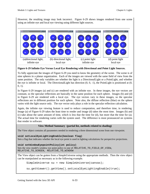However, the resulting image may look incorrect. Figure 6-29 shows images rendered from one scene using an infinite eye and local eye viewing using different light sources.



## **Figure 6-29 Infinite Eye Versus Local Eye Rendering with Directional and Point Light Sources.**

To fully appreciate the images of Figure 6-29 you need to know the geometry of the scene. The scene is of nine spheres in a planar organization. Each of the images are viewed with the same field of view from the same position. The only variables are whether the light is a DirectionalLight or a PointLight, and whether the eye is infinite or local. The DirectionalLight has direction  $(0, 0, -1)$ , the PointLight is positioned at  $(0, 0, -1)$ 0, 1).

In Figure 6-29 images (a) and (c) are rendered with an infinite eye. In these images, the eye vectors are constant, so the specular reflections are basically in the same position for each sphere. Images (b) and (d) in Figure 6-29 are rendered with a local eye. The eye vectors vary in these images, so the specular reflections are in different position for each sphere. Note also, the diffuse reflection (blue) on the sphere varies with the light source only. The eye vector only plays a role in the specular reflection calculation.

Again, the infinite eye viewing feature is used to reduce computation, and therefore time, in rendering. Image (a) of Figure 6-29 takes the least time to render and image (d) takes the most time. Images (b) and (c) take about the same amount of time, which is less that the time for (d), but more that the time for (a). The actual time for rendering varies with the system used. The difference is most pronounced on systems that render in software.

## **View Method Summary (partial list, methods related to shading)**

The View object contains all parameters needed in rendering a three dimensional scene from one viewpoint.

**void setLocalEyeLightingEnable(boolean flag)** Sets a flag that indicates whether the local eye point is used in lighting calculations for perspective projections.

**void setWindowEyepointPolicy(int policy)** Sets the view model's window eye point policy to one of: RELATIVE\_TO\_FIELD\_OF\_VIEW, RELATIVE\_TO\_SCREEN, RELATIVE\_TO\_WINDOW

The View object can be gotten from a SimpleUniverse using the appropriate methods. Then the view object can be manipulated as necessary as in the following example.

SimpleUniverse su = new SimpleUniverse(canvas);

su.getViewer().getView().setLocalEyeLightingEnable(true);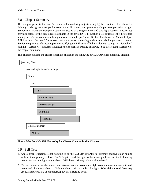## 6.8 Chapter Summary

This chapter presents the Java 3D features for rendering objects using lights. Section 6.1 explains the lighting model, gives a recipe for constructing lit scenes, and presents a simple example using a light. Section 6.2 shows an example program consisting of a single sphere and two light sources. Section 6.3 provides details of the light classes available in the Java 3D API. Section 6.3.5 illustrates the differences among the light source classes through several example programs. Section 6.4 shows the Material object API interface. Section 6.5 discussed various aspects of creating surface normals for geometric content. Section 6.6 presents advanced topics on specifying the influence of lights including scene graph hierarchical scoping. Section 6.7 discusses advanced topics such as creating shadows. You are reading Section 6.8, the chapter summary.

This chapter explains the classes which are shaded in the following Java 3D API class hierarchy diagram.



**Figure 6-30 Java 3D API Hierarchy for Classes Covered in this Chapter.**

## 6.9 Self Test

- 1. Add a green DirectionalLight pointing up to the LitSphereApp to illustrate additive color mixing with all three primary colors. Don't forget to add the light to the scene graph and set the influencing bounds for the new light source object. Which two primary colors make yellow?
- 2. To learn more about the interaction between material colors and light colors, create a scene with red, green, and blue visual objects. Light the objects with a single color light. What did you see? You may use LitSpereApp.java or MaterialApp.java as a starting point.